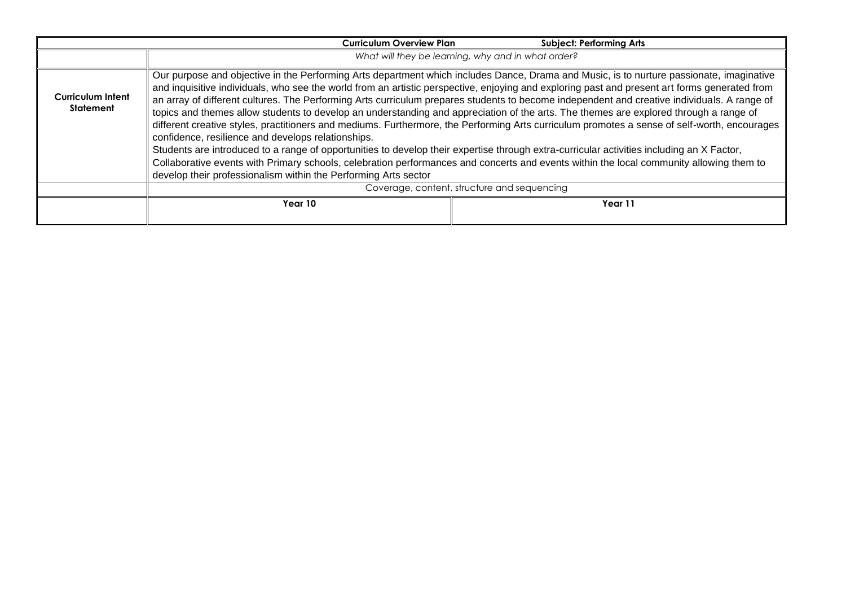|                                       | <b>Curriculum Overview Plan</b>                                                                                                                                                                                                                                    | <b>Subject: Performing Arts</b>                                                                                                                                                                                                                                                                                                                                                                                                                                                                                                                                                                                                                                                                                                                                                                                                                                              |
|---------------------------------------|--------------------------------------------------------------------------------------------------------------------------------------------------------------------------------------------------------------------------------------------------------------------|------------------------------------------------------------------------------------------------------------------------------------------------------------------------------------------------------------------------------------------------------------------------------------------------------------------------------------------------------------------------------------------------------------------------------------------------------------------------------------------------------------------------------------------------------------------------------------------------------------------------------------------------------------------------------------------------------------------------------------------------------------------------------------------------------------------------------------------------------------------------------|
|                                       | What will they be learning, why and in what order?                                                                                                                                                                                                                 |                                                                                                                                                                                                                                                                                                                                                                                                                                                                                                                                                                                                                                                                                                                                                                                                                                                                              |
| Curriculum Intent<br><b>Statement</b> | confidence, resilience and develops relationships.<br>Students are introduced to a range of opportunities to develop their expertise through extra-curricular activities including an X Factor,<br>develop their professionalism within the Performing Arts sector | Our purpose and objective in the Performing Arts department which includes Dance, Drama and Music, is to nurture passionate, imaginative<br>and inquisitive individuals, who see the world from an artistic perspective, enjoying and exploring past and present art forms generated from<br>an array of different cultures. The Performing Arts curriculum prepares students to become independent and creative individuals. A range of<br>topics and themes allow students to develop an understanding and appreciation of the arts. The themes are explored through a range of<br>different creative styles, practitioners and mediums. Furthermore, the Performing Arts curriculum promotes a sense of self-worth, encourages<br>Collaborative events with Primary schools, celebration performances and concerts and events within the local community allowing them to |
|                                       | Coverage, content, structure and sequencing                                                                                                                                                                                                                        |                                                                                                                                                                                                                                                                                                                                                                                                                                                                                                                                                                                                                                                                                                                                                                                                                                                                              |
|                                       | Year 10                                                                                                                                                                                                                                                            | Year 11                                                                                                                                                                                                                                                                                                                                                                                                                                                                                                                                                                                                                                                                                                                                                                                                                                                                      |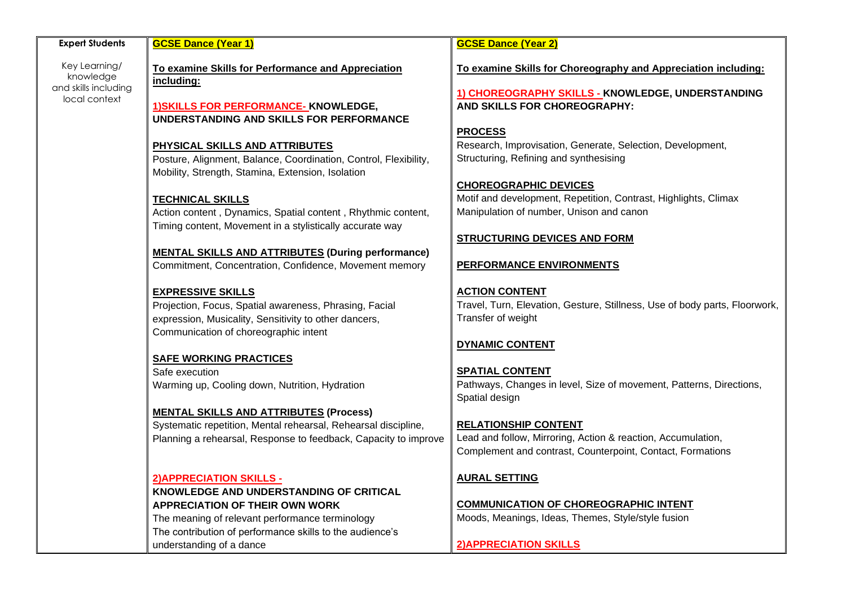| <b>Expert Students</b>                             | <b>GCSE Dance (Year 1)</b>                                                                                                                                                         | <b>GCSE Dance (Year 2)</b>                                                                                                                                |
|----------------------------------------------------|------------------------------------------------------------------------------------------------------------------------------------------------------------------------------------|-----------------------------------------------------------------------------------------------------------------------------------------------------------|
| Key Learning/<br>knowledge<br>and skills including | To examine Skills for Performance and Appreciation<br>including:                                                                                                                   | To examine Skills for Choreography and Appreciation including:                                                                                            |
| local context                                      | 1) SKILLS FOR PERFORMANCE- KNOWLEDGE,<br>UNDERSTANDING AND SKILLS FOR PERFORMANCE                                                                                                  | 1) CHOREOGRAPHY SKILLS - KNOWLEDGE, UNDERSTANDING<br>AND SKILLS FOR CHOREOGRAPHY:                                                                         |
|                                                    | PHYSICAL SKILLS AND ATTRIBUTES<br>Posture, Alignment, Balance, Coordination, Control, Flexibility,                                                                                 | <b>PROCESS</b><br>Research, Improvisation, Generate, Selection, Development,<br>Structuring, Refining and synthesising                                    |
|                                                    | Mobility, Strength, Stamina, Extension, Isolation                                                                                                                                  | <b>CHOREOGRAPHIC DEVICES</b><br>Motif and development, Repetition, Contrast, Highlights, Climax                                                           |
|                                                    | <b>TECHNICAL SKILLS</b><br>Action content, Dynamics, Spatial content, Rhythmic content,<br>Timing content, Movement in a stylistically accurate way                                | Manipulation of number, Unison and canon                                                                                                                  |
|                                                    | <b>MENTAL SKILLS AND ATTRIBUTES (During performance)</b>                                                                                                                           | <b>STRUCTURING DEVICES AND FORM</b>                                                                                                                       |
|                                                    | Commitment, Concentration, Confidence, Movement memory                                                                                                                             | <b>PERFORMANCE ENVIRONMENTS</b>                                                                                                                           |
|                                                    | <b>EXPRESSIVE SKILLS</b><br>Projection, Focus, Spatial awareness, Phrasing, Facial<br>expression, Musicality, Sensitivity to other dancers,                                        | <b>ACTION CONTENT</b><br>Travel, Turn, Elevation, Gesture, Stillness, Use of body parts, Floorwork,<br>Transfer of weight                                 |
|                                                    | Communication of choreographic intent                                                                                                                                              | <b>DYNAMIC CONTENT</b>                                                                                                                                    |
|                                                    | <b>SAFE WORKING PRACTICES</b><br>Safe execution.                                                                                                                                   | <b>SPATIAL CONTENT</b>                                                                                                                                    |
|                                                    | Warming up, Cooling down, Nutrition, Hydration                                                                                                                                     | Pathways, Changes in level, Size of movement, Patterns, Directions,<br>Spatial design                                                                     |
|                                                    | <b>MENTAL SKILLS AND ATTRIBUTES (Process)</b><br>Systematic repetition, Mental rehearsal, Rehearsal discipline,<br>Planning a rehearsal, Response to feedback, Capacity to improve | <b>RELATIONSHIP CONTENT</b><br>Lead and follow, Mirroring, Action & reaction, Accumulation,<br>Complement and contrast, Counterpoint, Contact, Formations |
|                                                    | 2) APPRECIATION SKILLS -                                                                                                                                                           | <b>AURAL SETTING</b>                                                                                                                                      |
|                                                    | KNOWLEDGE AND UNDERSTANDING OF CRITICAL<br><b>APPRECIATION OF THEIR OWN WORK</b>                                                                                                   | <b>COMMUNICATION OF CHOREOGRAPHIC INTENT</b><br>Moods, Meanings, Ideas, Themes, Style/style fusion                                                        |
|                                                    | The meaning of relevant performance terminology<br>The contribution of performance skills to the audience's<br>understanding of a dance                                            | <b>2) APPRECIATION SKILLS</b>                                                                                                                             |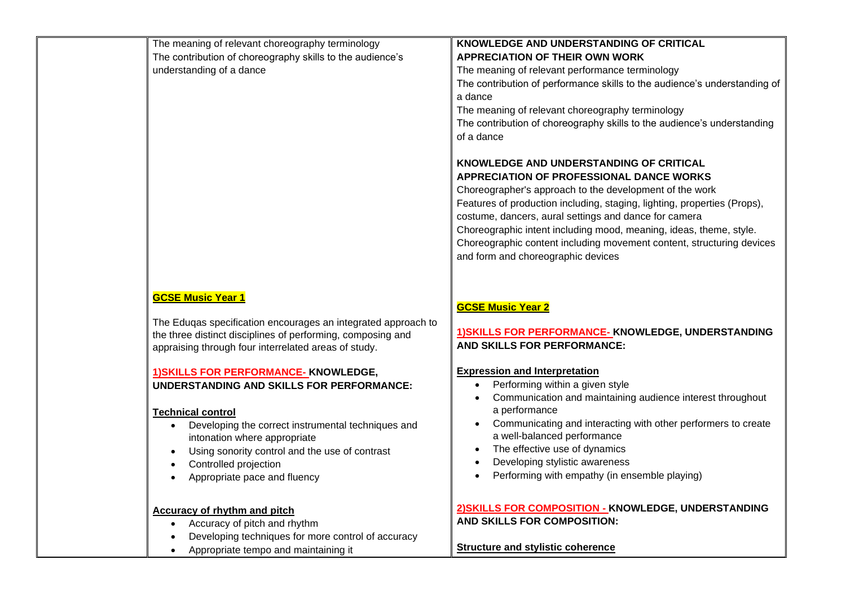| The meaning of relevant choreography terminology<br>The contribution of choreography skills to the audience's<br>understanding of a dance                                                                                                                                                                     | KNOWLEDGE AND UNDERSTANDING OF CRITICAL<br><b>APPRECIATION OF THEIR OWN WORK</b><br>The meaning of relevant performance terminology<br>The contribution of performance skills to the audience's understanding of<br>a dance<br>The meaning of relevant choreography terminology<br>The contribution of choreography skills to the audience's understanding<br>of a dance<br>KNOWLEDGE AND UNDERSTANDING OF CRITICAL<br>APPRECIATION OF PROFESSIONAL DANCE WORKS<br>Choreographer's approach to the development of the work<br>Features of production including, staging, lighting, properties (Props),<br>costume, dancers, aural settings and dance for camera<br>Choreographic intent including mood, meaning, ideas, theme, style.<br>Choreographic content including movement content, structuring devices<br>and form and choreographic devices |
|---------------------------------------------------------------------------------------------------------------------------------------------------------------------------------------------------------------------------------------------------------------------------------------------------------------|------------------------------------------------------------------------------------------------------------------------------------------------------------------------------------------------------------------------------------------------------------------------------------------------------------------------------------------------------------------------------------------------------------------------------------------------------------------------------------------------------------------------------------------------------------------------------------------------------------------------------------------------------------------------------------------------------------------------------------------------------------------------------------------------------------------------------------------------------|
| <b>GCSE Music Year 1</b><br>The Eduqas specification encourages an integrated approach to<br>the three distinct disciplines of performing, composing and<br>appraising through four interrelated areas of study.<br><b>1) SKILLS FOR PERFORMANCE- KNOWLEDGE,</b><br>UNDERSTANDING AND SKILLS FOR PERFORMANCE: | <b>GCSE Music Year 2</b><br>1) SKILLS FOR PERFORMANCE-KNOWLEDGE, UNDERSTANDING<br><b>AND SKILLS FOR PERFORMANCE:</b><br><b>Expression and Interpretation</b><br>Performing within a given style<br>Communication and maintaining audience interest throughout                                                                                                                                                                                                                                                                                                                                                                                                                                                                                                                                                                                        |
| <b>Technical control</b><br>Developing the correct instrumental techniques and<br>intonation where appropriate<br>Using sonority control and the use of contrast<br>Controlled projection<br>Appropriate pace and fluency<br>$\bullet$                                                                        | a performance<br>Communicating and interacting with other performers to create<br>a well-balanced performance<br>The effective use of dynamics<br>Developing stylistic awareness<br>Performing with empathy (in ensemble playing)                                                                                                                                                                                                                                                                                                                                                                                                                                                                                                                                                                                                                    |
| <b>Accuracy of rhythm and pitch</b><br>Accuracy of pitch and rhythm<br>Developing techniques for more control of accuracy<br>Appropriate tempo and maintaining it<br>$\bullet$                                                                                                                                | 2) SKILLS FOR COMPOSITION - KNOWLEDGE, UNDERSTANDING<br>AND SKILLS FOR COMPOSITION:<br><b>Structure and stylistic coherence</b>                                                                                                                                                                                                                                                                                                                                                                                                                                                                                                                                                                                                                                                                                                                      |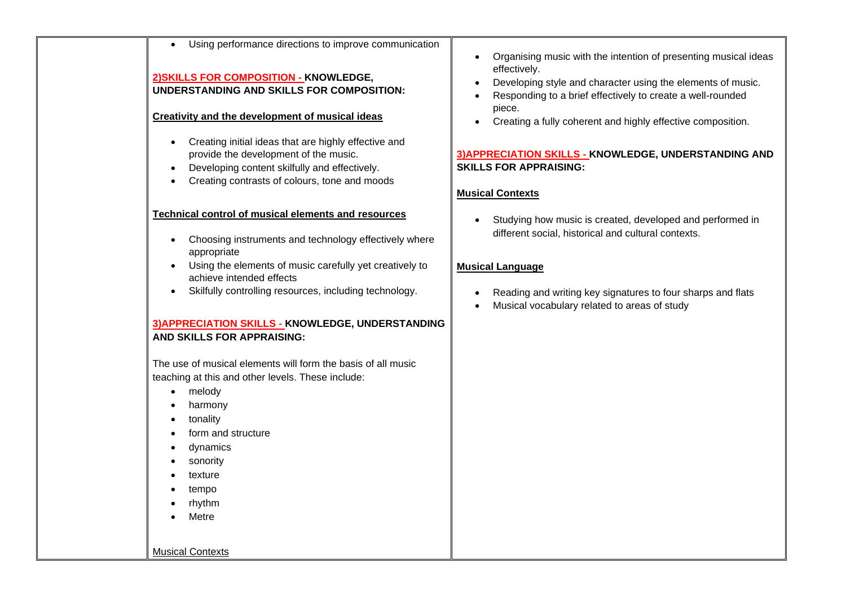| Using performance directions to improve communication                                                                                                                                                                                                | Organising music with the intention of presenting musical ideas                                                                             |
|------------------------------------------------------------------------------------------------------------------------------------------------------------------------------------------------------------------------------------------------------|---------------------------------------------------------------------------------------------------------------------------------------------|
| 2) SKILLS FOR COMPOSITION - KNOWLEDGE,<br>UNDERSTANDING AND SKILLS FOR COMPOSITION:                                                                                                                                                                  | effectively.<br>Developing style and character using the elements of music.<br>Responding to a brief effectively to create a well-rounded   |
| Creativity and the development of musical ideas                                                                                                                                                                                                      | piece.<br>Creating a fully coherent and highly effective composition.                                                                       |
| Creating initial ideas that are highly effective and<br>provide the development of the music.<br>Developing content skilfully and effectively.<br>$\bullet$<br>Creating contrasts of colours, tone and moods                                         | 3) APPRECIATION SKILLS - KNOWLEDGE, UNDERSTANDING AND<br><b>SKILLS FOR APPRAISING:</b>                                                      |
| <b>Technical control of musical elements and resources</b>                                                                                                                                                                                           | <b>Musical Contexts</b><br>Studying how music is created, developed and performed in<br>different social, historical and cultural contexts. |
| Choosing instruments and technology effectively where<br>$\bullet$<br>appropriate<br>Using the elements of music carefully yet creatively to<br>achieve intended effects                                                                             | <b>Musical Language</b>                                                                                                                     |
| Skilfully controlling resources, including technology.                                                                                                                                                                                               | Reading and writing key signatures to four sharps and flats<br>Musical vocabulary related to areas of study                                 |
| 3) APPRECIATION SKILLS - KNOWLEDGE, UNDERSTANDING<br>AND SKILLS FOR APPRAISING:                                                                                                                                                                      |                                                                                                                                             |
| The use of musical elements will form the basis of all music<br>teaching at this and other levels. These include:<br>melody<br>$\bullet$<br>harmony<br>tonality<br>form and structure<br>dynamics<br>sonority<br>texture<br>tempo<br>rhythm<br>Metre |                                                                                                                                             |
| <b>Musical Contexts</b>                                                                                                                                                                                                                              |                                                                                                                                             |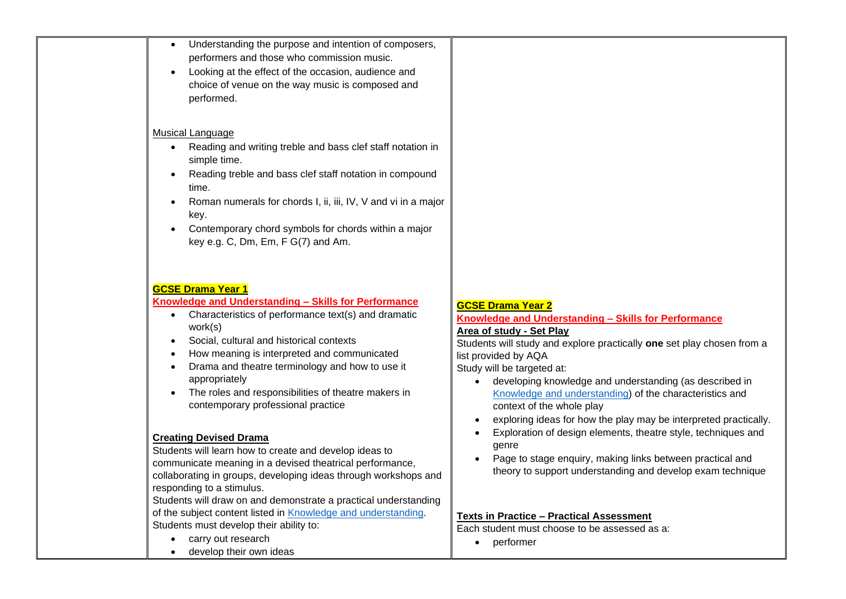| Understanding the purpose and intention of composers,<br>$\bullet$<br>performers and those who commission music.<br>Looking at the effect of the occasion, audience and<br>choice of venue on the way music is composed and<br>performed.<br>Musical Language                                                                                                                                                                                                                       |                                                                                                                                                                                                                                                                                                                                                                                                                                                                            |
|-------------------------------------------------------------------------------------------------------------------------------------------------------------------------------------------------------------------------------------------------------------------------------------------------------------------------------------------------------------------------------------------------------------------------------------------------------------------------------------|----------------------------------------------------------------------------------------------------------------------------------------------------------------------------------------------------------------------------------------------------------------------------------------------------------------------------------------------------------------------------------------------------------------------------------------------------------------------------|
| Reading and writing treble and bass clef staff notation in<br>$\bullet$<br>simple time.<br>Reading treble and bass clef staff notation in compound<br>time.<br>Roman numerals for chords I, ii, iii, IV, V and vi in a major<br>$\bullet$<br>key.<br>Contemporary chord symbols for chords within a major<br>$\bullet$<br>key e.g. C, Dm, Em, F G(7) and Am.                                                                                                                        |                                                                                                                                                                                                                                                                                                                                                                                                                                                                            |
| <b>GCSE Drama Year 1</b><br>Knowledge and Understanding - Skills for Performance<br>Characteristics of performance text(s) and dramatic<br>$\bullet$<br>work(s)<br>Social, cultural and historical contexts<br>How meaning is interpreted and communicated<br>Drama and theatre terminology and how to use it<br>appropriately<br>The roles and responsibilities of theatre makers in<br>contemporary professional practice                                                         | <b>GCSE Drama Year 2</b><br>Knowledge and Understanding - Skills for Performance<br><b>Area of study - Set Play</b><br>Students will study and explore practically one set play chosen from a<br>list provided by AQA<br>Study will be targeted at:<br>developing knowledge and understanding (as described in<br>Knowledge and understanding) of the characteristics and<br>context of the whole play<br>exploring ideas for how the play may be interpreted practically. |
| <b>Creating Devised Drama</b><br>Students will learn how to create and develop ideas to<br>communicate meaning in a devised theatrical performance,<br>collaborating in groups, developing ideas through workshops and<br>responding to a stimulus.<br>Students will draw on and demonstrate a practical understanding<br>of the subject content listed in Knowledge and understanding.<br>Students must develop their ability to:<br>carry out research<br>develop their own ideas | Exploration of design elements, theatre style, techniques and<br>genre<br>Page to stage enquiry, making links between practical and<br>theory to support understanding and develop exam technique<br><b>Texts in Practice - Practical Assessment</b><br>Each student must choose to be assessed as a:<br>performer                                                                                                                                                         |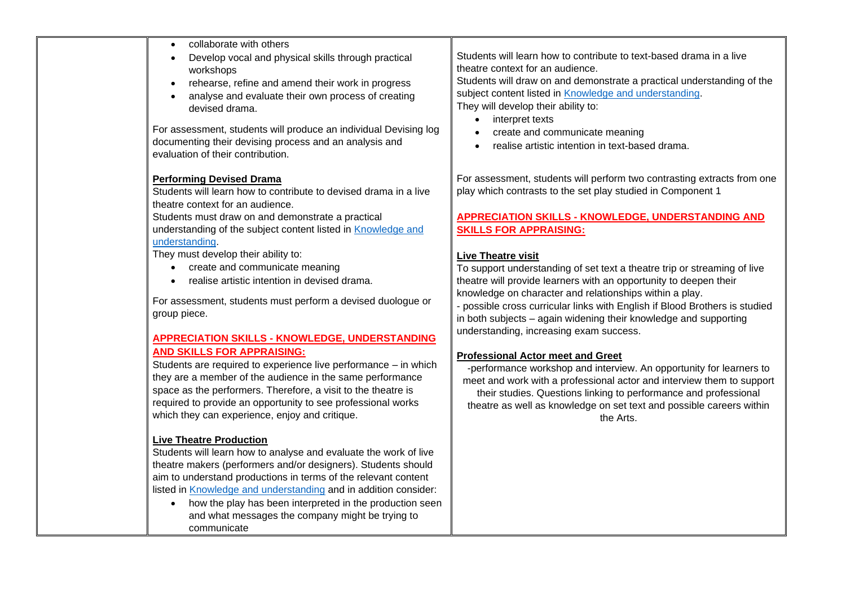| collaborate with others<br>Develop vocal and physical skills through practical<br>workshops<br>rehearse, refine and amend their work in progress<br>analyse and evaluate their own process of creating<br>devised drama.<br>For assessment, students will produce an individual Devising log<br>documenting their devising process and an analysis and<br>evaluation of their contribution.                              | Students will learn how to contribute to text-based drama in a live<br>theatre context for an audience.<br>Students will draw on and demonstrate a practical understanding of the<br>subject content listed in Knowledge and understanding.<br>They will develop their ability to:<br>interpret texts<br>create and communicate meaning<br>realise artistic intention in text-based drama.                                          |
|--------------------------------------------------------------------------------------------------------------------------------------------------------------------------------------------------------------------------------------------------------------------------------------------------------------------------------------------------------------------------------------------------------------------------|-------------------------------------------------------------------------------------------------------------------------------------------------------------------------------------------------------------------------------------------------------------------------------------------------------------------------------------------------------------------------------------------------------------------------------------|
| <b>Performing Devised Drama</b><br>Students will learn how to contribute to devised drama in a live<br>theatre context for an audience.<br>Students must draw on and demonstrate a practical<br>understanding of the subject content listed in <b>Knowledge and</b>                                                                                                                                                      | For assessment, students will perform two contrasting extracts from one<br>play which contrasts to the set play studied in Component 1<br><b>APPRECIATION SKILLS - KNOWLEDGE, UNDERSTANDING AND</b><br><b>SKILLS FOR APPRAISING:</b>                                                                                                                                                                                                |
| understanding.<br>They must develop their ability to:<br>create and communicate meaning<br>realise artistic intention in devised drama.<br>For assessment, students must perform a devised duologue or<br>group piece.                                                                                                                                                                                                   | <b>Live Theatre visit</b><br>To support understanding of set text a theatre trip or streaming of live<br>theatre will provide learners with an opportunity to deepen their<br>knowledge on character and relationships within a play.<br>- possible cross curricular links with English if Blood Brothers is studied<br>in both subjects – again widening their knowledge and supporting<br>understanding, increasing exam success. |
| <b>APPRECIATION SKILLS - KNOWLEDGE, UNDERSTANDING</b><br><b>AND SKILLS FOR APPRAISING:</b><br>Students are required to experience live performance - in which<br>they are a member of the audience in the same performance<br>space as the performers. Therefore, a visit to the theatre is<br>required to provide an opportunity to see professional works<br>which they can experience, enjoy and critique.            | <b>Professional Actor meet and Greet</b><br>-performance workshop and interview. An opportunity for learners to<br>meet and work with a professional actor and interview them to support<br>their studies. Questions linking to performance and professional<br>theatre as well as knowledge on set text and possible careers within<br>the Arts.                                                                                   |
| <b>Live Theatre Production</b><br>Students will learn how to analyse and evaluate the work of live<br>theatre makers (performers and/or designers). Students should<br>aim to understand productions in terms of the relevant content<br>listed in Knowledge and understanding and in addition consider:<br>how the play has been interpreted in the production seen<br>and what messages the company might be trying to |                                                                                                                                                                                                                                                                                                                                                                                                                                     |

communicate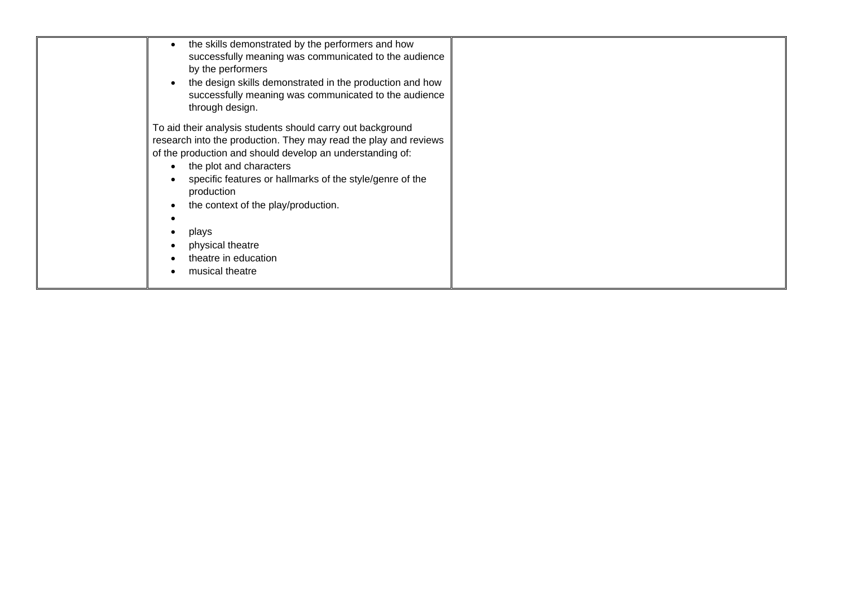| the skills demonstrated by the performers and how<br>successfully meaning was communicated to the audience<br>by the performers<br>the design skills demonstrated in the production and how<br>successfully meaning was communicated to the audience<br>through design.                                                                                                                                                      |  |
|------------------------------------------------------------------------------------------------------------------------------------------------------------------------------------------------------------------------------------------------------------------------------------------------------------------------------------------------------------------------------------------------------------------------------|--|
| To aid their analysis students should carry out background<br>research into the production. They may read the play and reviews<br>of the production and should develop an understanding of:<br>the plot and characters<br>$\bullet$<br>specific features or hallmarks of the style/genre of the<br>production<br>the context of the play/production.<br>plays<br>physical theatre<br>theatre in education<br>musical theatre |  |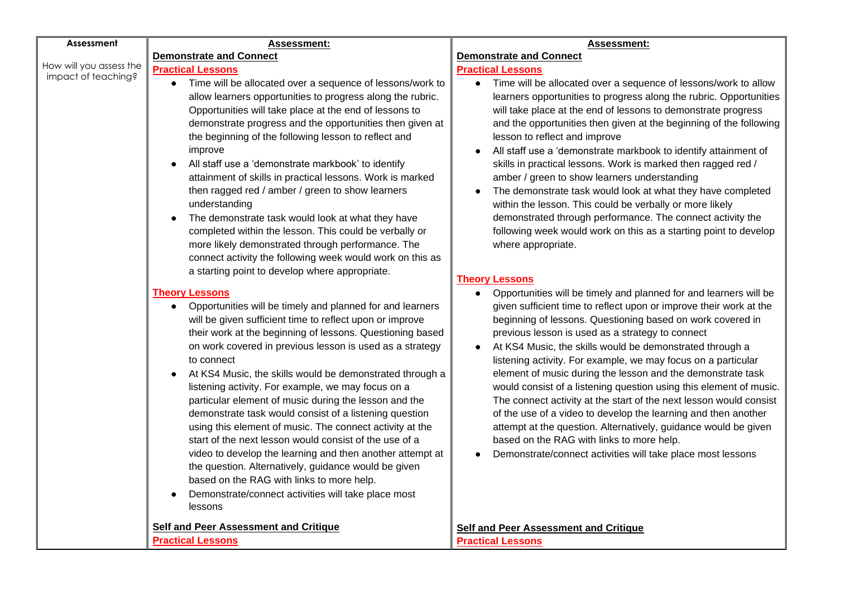| Assessment                                     | <b>Assessment:</b>                                                                                                                                                                                                                                                                                                                                                                                                                                                                                                                                                                                                                                                                                                                                                                                                                                                                   | <b>Assessment:</b>                                                                                                                                                                                                                                                                                                                                                                                                                                                                                                                                                                                                                                                                                                                                                                                                                                 |
|------------------------------------------------|--------------------------------------------------------------------------------------------------------------------------------------------------------------------------------------------------------------------------------------------------------------------------------------------------------------------------------------------------------------------------------------------------------------------------------------------------------------------------------------------------------------------------------------------------------------------------------------------------------------------------------------------------------------------------------------------------------------------------------------------------------------------------------------------------------------------------------------------------------------------------------------|----------------------------------------------------------------------------------------------------------------------------------------------------------------------------------------------------------------------------------------------------------------------------------------------------------------------------------------------------------------------------------------------------------------------------------------------------------------------------------------------------------------------------------------------------------------------------------------------------------------------------------------------------------------------------------------------------------------------------------------------------------------------------------------------------------------------------------------------------|
|                                                | <b>Demonstrate and Connect</b>                                                                                                                                                                                                                                                                                                                                                                                                                                                                                                                                                                                                                                                                                                                                                                                                                                                       | <b>Demonstrate and Connect</b>                                                                                                                                                                                                                                                                                                                                                                                                                                                                                                                                                                                                                                                                                                                                                                                                                     |
| How will you assess the<br>impact of teaching? | <b>Practical Lessons</b>                                                                                                                                                                                                                                                                                                                                                                                                                                                                                                                                                                                                                                                                                                                                                                                                                                                             | <b>Practical Lessons</b>                                                                                                                                                                                                                                                                                                                                                                                                                                                                                                                                                                                                                                                                                                                                                                                                                           |
|                                                | Time will be allocated over a sequence of lessons/work to<br>allow learners opportunities to progress along the rubric.<br>Opportunities will take place at the end of lessons to<br>demonstrate progress and the opportunities then given at<br>the beginning of the following lesson to reflect and<br>improve<br>All staff use a 'demonstrate markbook' to identify<br>attainment of skills in practical lessons. Work is marked<br>then ragged red / amber / green to show learners<br>understanding<br>The demonstrate task would look at what they have<br>completed within the lesson. This could be verbally or                                                                                                                                                                                                                                                              | Time will be allocated over a sequence of lessons/work to allow<br>learners opportunities to progress along the rubric. Opportunities<br>will take place at the end of lessons to demonstrate progress<br>and the opportunities then given at the beginning of the following<br>lesson to reflect and improve<br>All staff use a 'demonstrate markbook to identify attainment of<br>skills in practical lessons. Work is marked then ragged red /<br>amber / green to show learners understanding<br>The demonstrate task would look at what they have completed<br>within the lesson. This could be verbally or more likely<br>demonstrated through performance. The connect activity the<br>following week would work on this as a starting point to develop                                                                                     |
|                                                | more likely demonstrated through performance. The<br>connect activity the following week would work on this as<br>a starting point to develop where appropriate.                                                                                                                                                                                                                                                                                                                                                                                                                                                                                                                                                                                                                                                                                                                     | where appropriate.<br><b>Theory Lessons</b>                                                                                                                                                                                                                                                                                                                                                                                                                                                                                                                                                                                                                                                                                                                                                                                                        |
|                                                | <b>Theory Lessons</b><br>Opportunities will be timely and planned for and learners<br>will be given sufficient time to reflect upon or improve<br>their work at the beginning of lessons. Questioning based<br>on work covered in previous lesson is used as a strategy<br>to connect<br>At KS4 Music, the skills would be demonstrated through a<br>listening activity. For example, we may focus on a<br>particular element of music during the lesson and the<br>demonstrate task would consist of a listening question<br>using this element of music. The connect activity at the<br>start of the next lesson would consist of the use of a<br>video to develop the learning and then another attempt at<br>the question. Alternatively, guidance would be given<br>based on the RAG with links to more help.<br>Demonstrate/connect activities will take place most<br>lessons | Opportunities will be timely and planned for and learners will be<br>given sufficient time to reflect upon or improve their work at the<br>beginning of lessons. Questioning based on work covered in<br>previous lesson is used as a strategy to connect<br>At KS4 Music, the skills would be demonstrated through a<br>listening activity. For example, we may focus on a particular<br>element of music during the lesson and the demonstrate task<br>would consist of a listening question using this element of music.<br>The connect activity at the start of the next lesson would consist<br>of the use of a video to develop the learning and then another<br>attempt at the question. Alternatively, guidance would be given<br>based on the RAG with links to more help.<br>Demonstrate/connect activities will take place most lessons |
|                                                | <b>Self and Peer Assessment and Critique</b>                                                                                                                                                                                                                                                                                                                                                                                                                                                                                                                                                                                                                                                                                                                                                                                                                                         | <b>Self and Peer Assessment and Critique</b>                                                                                                                                                                                                                                                                                                                                                                                                                                                                                                                                                                                                                                                                                                                                                                                                       |
|                                                | <b>Practical Lessons</b>                                                                                                                                                                                                                                                                                                                                                                                                                                                                                                                                                                                                                                                                                                                                                                                                                                                             | <b>Practical Lessons</b>                                                                                                                                                                                                                                                                                                                                                                                                                                                                                                                                                                                                                                                                                                                                                                                                                           |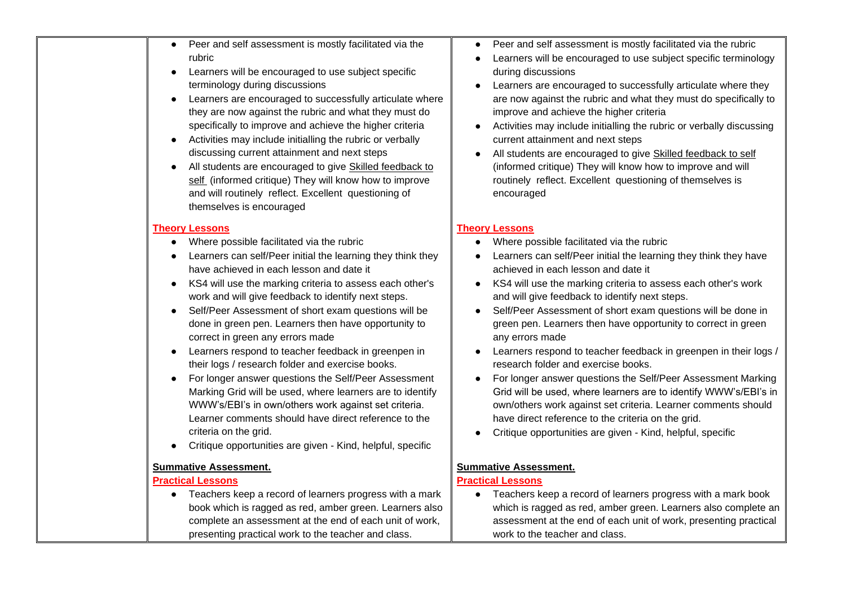| Peer and self assessment is mostly facilitated via the<br>rubric<br>Learners will be encouraged to use subject specific<br>terminology during discussions<br>Learners are encouraged to successfully articulate where<br>they are now against the rubric and what they must do<br>specifically to improve and achieve the higher criteria<br>Activities may include initialling the rubric or verbally<br>discussing current attainment and next steps<br>All students are encouraged to give Skilled feedback to<br>self (informed critique) They will know how to improve<br>and will routinely reflect. Excellent questioning of<br>themselves is encouraged                                                                                                                                                                                                                                          | Peer and self assessment is mostly facilitated via the rubric<br>Learners will be encouraged to use subject specific terminology<br>during discussions<br>Learners are encouraged to successfully articulate where they<br>are now against the rubric and what they must do specifically to<br>improve and achieve the higher criteria<br>Activities may include initialling the rubric or verbally discussing<br>current attainment and next steps<br>All students are encouraged to give Skilled feedback to self<br>(informed critique) They will know how to improve and will<br>routinely reflect. Excellent questioning of themselves is<br>encouraged                                                                                                                                                                                                                             |
|----------------------------------------------------------------------------------------------------------------------------------------------------------------------------------------------------------------------------------------------------------------------------------------------------------------------------------------------------------------------------------------------------------------------------------------------------------------------------------------------------------------------------------------------------------------------------------------------------------------------------------------------------------------------------------------------------------------------------------------------------------------------------------------------------------------------------------------------------------------------------------------------------------|------------------------------------------------------------------------------------------------------------------------------------------------------------------------------------------------------------------------------------------------------------------------------------------------------------------------------------------------------------------------------------------------------------------------------------------------------------------------------------------------------------------------------------------------------------------------------------------------------------------------------------------------------------------------------------------------------------------------------------------------------------------------------------------------------------------------------------------------------------------------------------------|
|                                                                                                                                                                                                                                                                                                                                                                                                                                                                                                                                                                                                                                                                                                                                                                                                                                                                                                          |                                                                                                                                                                                                                                                                                                                                                                                                                                                                                                                                                                                                                                                                                                                                                                                                                                                                                          |
| <b>Theory Lessons</b><br>Where possible facilitated via the rubric<br>$\bullet$<br>Learners can self/Peer initial the learning they think they<br>have achieved in each lesson and date it<br>KS4 will use the marking criteria to assess each other's<br>work and will give feedback to identify next steps.<br>Self/Peer Assessment of short exam questions will be<br>done in green pen. Learners then have opportunity to<br>correct in green any errors made<br>Learners respond to teacher feedback in greenpen in<br>their logs / research folder and exercise books.<br>For longer answer questions the Self/Peer Assessment<br>Marking Grid will be used, where learners are to identify<br>WWW's/EBI's in own/others work against set criteria.<br>Learner comments should have direct reference to the<br>criteria on the grid.<br>Critique opportunities are given - Kind, helpful, specific | <b>Theory Lessons</b><br>Where possible facilitated via the rubric<br>Learners can self/Peer initial the learning they think they have<br>achieved in each lesson and date it<br>KS4 will use the marking criteria to assess each other's work<br>and will give feedback to identify next steps.<br>Self/Peer Assessment of short exam questions will be done in<br>green pen. Learners then have opportunity to correct in green<br>any errors made<br>Learners respond to teacher feedback in greenpen in their logs /<br>research folder and exercise books.<br>For longer answer questions the Self/Peer Assessment Marking<br>Grid will be used, where learners are to identify WWW's/EBI's in<br>own/others work against set criteria. Learner comments should<br>have direct reference to the criteria on the grid.<br>Critique opportunities are given - Kind, helpful, specific |
| <b>Summative Assessment.</b><br><b>Practical Lessons</b><br>Teachers keep a record of learners progress with a mark<br>$\bullet$<br>book which is ragged as red, amber green. Learners also<br>complete an assessment at the end of each unit of work,<br>presenting practical work to the teacher and class.                                                                                                                                                                                                                                                                                                                                                                                                                                                                                                                                                                                            | <b>Summative Assessment.</b><br><b>Practical Lessons</b><br>Teachers keep a record of learners progress with a mark book<br>which is ragged as red, amber green. Learners also complete an<br>assessment at the end of each unit of work, presenting practical<br>work to the teacher and class.                                                                                                                                                                                                                                                                                                                                                                                                                                                                                                                                                                                         |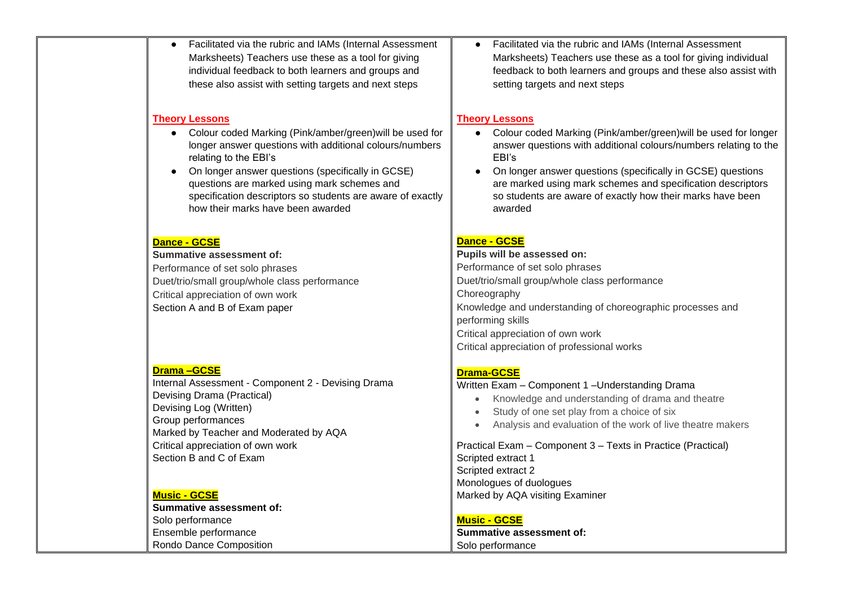| Facilitated via the rubric and IAMs (Internal Assessment<br>$\bullet$<br>Marksheets) Teachers use these as a tool for giving<br>individual feedback to both learners and groups and<br>these also assist with setting targets and next steps                                                                                                                                                                           | Facilitated via the rubric and IAMs (Internal Assessment<br>Marksheets) Teachers use these as a tool for giving individual<br>feedback to both learners and groups and these also assist with<br>setting targets and next steps                                                                                                                                                              |
|------------------------------------------------------------------------------------------------------------------------------------------------------------------------------------------------------------------------------------------------------------------------------------------------------------------------------------------------------------------------------------------------------------------------|----------------------------------------------------------------------------------------------------------------------------------------------------------------------------------------------------------------------------------------------------------------------------------------------------------------------------------------------------------------------------------------------|
| <b>Theory Lessons</b><br>Colour coded Marking (Pink/amber/green) will be used for<br>$\bullet$<br>longer answer questions with additional colours/numbers<br>relating to the EBI's<br>On longer answer questions (specifically in GCSE)<br>$\bullet$<br>questions are marked using mark schemes and<br>specification descriptors so students are aware of exactly<br>how their marks have been awarded<br>Dance - GCSE | <b>Theory Lessons</b><br>Colour coded Marking (Pink/amber/green) will be used for longer<br>answer questions with additional colours/numbers relating to the<br>EBI's<br>On longer answer questions (specifically in GCSE) questions<br>are marked using mark schemes and specification descriptors<br>so students are aware of exactly how their marks have been<br>awarded<br>Dance - GCSE |
| <b>Summative assessment of:</b><br>Performance of set solo phrases<br>Duet/trio/small group/whole class performance<br>Critical appreciation of own work<br>Section A and B of Exam paper                                                                                                                                                                                                                              | Pupils will be assessed on:<br>Performance of set solo phrases<br>Duet/trio/small group/whole class performance<br>Choreography<br>Knowledge and understanding of choreographic processes and<br>performing skills<br>Critical appreciation of own work<br>Critical appreciation of professional works                                                                                       |
| <b>Drama-GCSE</b><br>Internal Assessment - Component 2 - Devising Drama<br>Devising Drama (Practical)<br>Devising Log (Written)<br>Group performances<br>Marked by Teacher and Moderated by AQA<br>Critical appreciation of own work<br>Section B and C of Exam                                                                                                                                                        | <b>Drama-GCSE</b><br>Written Exam - Component 1 - Understanding Drama<br>Knowledge and understanding of drama and theatre<br>Study of one set play from a choice of six<br>Analysis and evaluation of the work of live theatre makers<br>Practical Exam - Component 3 - Texts in Practice (Practical)<br>Scripted extract 1<br>Scripted extract 2                                            |
| <b>Music - GCSE</b><br><b>Summative assessment of:</b><br>Solo performance<br>Ensemble performance<br>Rondo Dance Composition                                                                                                                                                                                                                                                                                          | Monologues of duologues<br>Marked by AQA visiting Examiner<br><b>Music - GCSE</b><br><b>Summative assessment of:</b><br>Solo performance                                                                                                                                                                                                                                                     |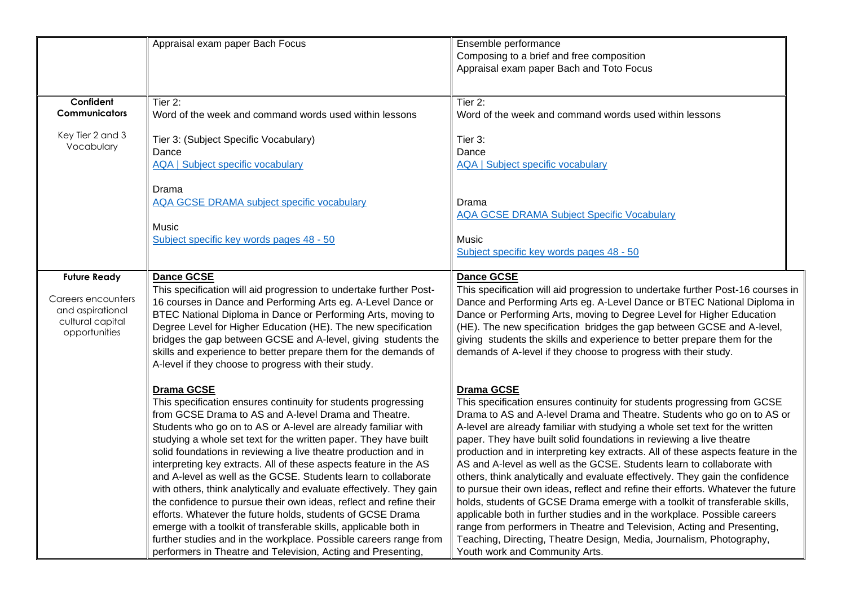|                                                                                                    | Appraisal exam paper Bach Focus                                                                                                                                                                                                                                                                                                                                                                                                                                                                                                                                                                                                                                                                                                                                                                                                                                                                                | Ensemble performance<br>Composing to a brief and free composition<br>Appraisal exam paper Bach and Toto Focus                                                                                                                                                                                                                                                                                                                                                                                                                                                                                                                                                                                                                                                                                                                                                                                                                                                                                                      |
|----------------------------------------------------------------------------------------------------|----------------------------------------------------------------------------------------------------------------------------------------------------------------------------------------------------------------------------------------------------------------------------------------------------------------------------------------------------------------------------------------------------------------------------------------------------------------------------------------------------------------------------------------------------------------------------------------------------------------------------------------------------------------------------------------------------------------------------------------------------------------------------------------------------------------------------------------------------------------------------------------------------------------|--------------------------------------------------------------------------------------------------------------------------------------------------------------------------------------------------------------------------------------------------------------------------------------------------------------------------------------------------------------------------------------------------------------------------------------------------------------------------------------------------------------------------------------------------------------------------------------------------------------------------------------------------------------------------------------------------------------------------------------------------------------------------------------------------------------------------------------------------------------------------------------------------------------------------------------------------------------------------------------------------------------------|
| Confident<br><b>Communicators</b>                                                                  | Tier 2:<br>Word of the week and command words used within lessons                                                                                                                                                                                                                                                                                                                                                                                                                                                                                                                                                                                                                                                                                                                                                                                                                                              | Tier 2:<br>Word of the week and command words used within lessons                                                                                                                                                                                                                                                                                                                                                                                                                                                                                                                                                                                                                                                                                                                                                                                                                                                                                                                                                  |
| Key Tier 2 and 3<br>Vocabulary                                                                     | Tier 3: (Subject Specific Vocabulary)<br>Dance<br><b>AQA   Subject specific vocabulary</b>                                                                                                                                                                                                                                                                                                                                                                                                                                                                                                                                                                                                                                                                                                                                                                                                                     | Tier 3:<br>Dance<br><b>AQA   Subject specific vocabulary</b>                                                                                                                                                                                                                                                                                                                                                                                                                                                                                                                                                                                                                                                                                                                                                                                                                                                                                                                                                       |
|                                                                                                    | Drama<br><b>AQA GCSE DRAMA subject specific vocabulary</b><br>Music<br>Subject specific key words pages 48 - 50                                                                                                                                                                                                                                                                                                                                                                                                                                                                                                                                                                                                                                                                                                                                                                                                | Drama<br><b>AQA GCSE DRAMA Subject Specific Vocabulary</b><br>Music<br>Subject specific key words pages 48 - 50                                                                                                                                                                                                                                                                                                                                                                                                                                                                                                                                                                                                                                                                                                                                                                                                                                                                                                    |
| <b>Future Ready</b><br>Careers encounters<br>and aspirational<br>cultural capital<br>opportunities | <b>Dance GCSE</b><br>This specification will aid progression to undertake further Post-<br>16 courses in Dance and Performing Arts eg. A-Level Dance or<br>BTEC National Diploma in Dance or Performing Arts, moving to<br>Degree Level for Higher Education (HE). The new specification<br>bridges the gap between GCSE and A-level, giving students the<br>skills and experience to better prepare them for the demands of<br>A-level if they choose to progress with their study.                                                                                                                                                                                                                                                                                                                                                                                                                           | <b>Dance GCSE</b><br>This specification will aid progression to undertake further Post-16 courses in<br>Dance and Performing Arts eg. A-Level Dance or BTEC National Diploma in<br>Dance or Performing Arts, moving to Degree Level for Higher Education<br>(HE). The new specification bridges the gap between GCSE and A-level,<br>giving students the skills and experience to better prepare them for the<br>demands of A-level if they choose to progress with their study.                                                                                                                                                                                                                                                                                                                                                                                                                                                                                                                                   |
|                                                                                                    | <b>Drama GCSE</b><br>This specification ensures continuity for students progressing<br>from GCSE Drama to AS and A-level Drama and Theatre.<br>Students who go on to AS or A-level are already familiar with<br>studying a whole set text for the written paper. They have built<br>solid foundations in reviewing a live theatre production and in<br>interpreting key extracts. All of these aspects feature in the AS<br>and A-level as well as the GCSE. Students learn to collaborate<br>with others, think analytically and evaluate effectively. They gain<br>the confidence to pursue their own ideas, reflect and refine their<br>efforts. Whatever the future holds, students of GCSE Drama<br>emerge with a toolkit of transferable skills, applicable both in<br>further studies and in the workplace. Possible careers range from<br>performers in Theatre and Television, Acting and Presenting, | <b>Drama GCSE</b><br>This specification ensures continuity for students progressing from GCSE<br>Drama to AS and A-level Drama and Theatre. Students who go on to AS or<br>A-level are already familiar with studying a whole set text for the written<br>paper. They have built solid foundations in reviewing a live theatre<br>production and in interpreting key extracts. All of these aspects feature in the<br>AS and A-level as well as the GCSE. Students learn to collaborate with<br>others, think analytically and evaluate effectively. They gain the confidence<br>to pursue their own ideas, reflect and refine their efforts. Whatever the future<br>holds, students of GCSE Drama emerge with a toolkit of transferable skills,<br>applicable both in further studies and in the workplace. Possible careers<br>range from performers in Theatre and Television, Acting and Presenting,<br>Teaching, Directing, Theatre Design, Media, Journalism, Photography,<br>Youth work and Community Arts. |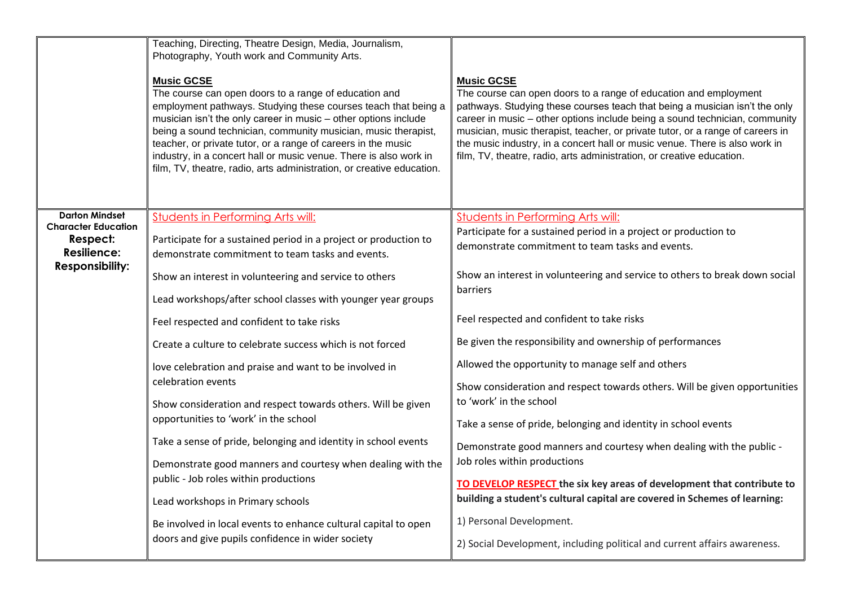|                                                                                                                 | Teaching, Directing, Theatre Design, Media, Journalism,<br>Photography, Youth work and Community Arts.<br><b>Music GCSE</b><br>The course can open doors to a range of education and<br>employment pathways. Studying these courses teach that being a<br>musician isn't the only career in music - other options include<br>being a sound technician, community musician, music therapist,<br>teacher, or private tutor, or a range of careers in the music<br>industry, in a concert hall or music venue. There is also work in<br>film, TV, theatre, radio, arts administration, or creative education. | <b>Music GCSE</b><br>The course can open doors to a range of education and employment<br>pathways. Studying these courses teach that being a musician isn't the only<br>career in music – other options include being a sound technician, community<br>musician, music therapist, teacher, or private tutor, or a range of careers in<br>the music industry, in a concert hall or music venue. There is also work in<br>film, TV, theatre, radio, arts administration, or creative education. |
|-----------------------------------------------------------------------------------------------------------------|------------------------------------------------------------------------------------------------------------------------------------------------------------------------------------------------------------------------------------------------------------------------------------------------------------------------------------------------------------------------------------------------------------------------------------------------------------------------------------------------------------------------------------------------------------------------------------------------------------|-----------------------------------------------------------------------------------------------------------------------------------------------------------------------------------------------------------------------------------------------------------------------------------------------------------------------------------------------------------------------------------------------------------------------------------------------------------------------------------------------|
| <b>Darton Mindset</b><br><b>Character Education</b><br>Respect:<br><b>Resilience:</b><br><b>Responsibility:</b> | <b>Students in Performing Arts will:</b><br>Participate for a sustained period in a project or production to<br>demonstrate commitment to team tasks and events.<br>Show an interest in volunteering and service to others<br>Lead workshops/after school classes with younger year groups                                                                                                                                                                                                                                                                                                                 | <b>Students in Performing Arts will:</b><br>Participate for a sustained period in a project or production to<br>demonstrate commitment to team tasks and events.<br>Show an interest in volunteering and service to others to break down social<br>barriers                                                                                                                                                                                                                                   |
|                                                                                                                 | Feel respected and confident to take risks<br>Create a culture to celebrate success which is not forced<br>love celebration and praise and want to be involved in<br>celebration events                                                                                                                                                                                                                                                                                                                                                                                                                    | Feel respected and confident to take risks<br>Be given the responsibility and ownership of performances<br>Allowed the opportunity to manage self and others                                                                                                                                                                                                                                                                                                                                  |
|                                                                                                                 | Show consideration and respect towards others. Will be given<br>opportunities to 'work' in the school<br>Take a sense of pride, belonging and identity in school events<br>Demonstrate good manners and courtesy when dealing with the<br>public - Job roles within productions<br>Lead workshops in Primary schools<br>Be involved in local events to enhance cultural capital to open                                                                                                                                                                                                                    | Show consideration and respect towards others. Will be given opportunities<br>to 'work' in the school<br>Take a sense of pride, belonging and identity in school events<br>Demonstrate good manners and courtesy when dealing with the public -<br>Job roles within productions<br>TO DEVELOP RESPECT the six key areas of development that contribute to<br>building a student's cultural capital are covered in Schemes of learning:<br>1) Personal Development.                            |
|                                                                                                                 | doors and give pupils confidence in wider society                                                                                                                                                                                                                                                                                                                                                                                                                                                                                                                                                          | 2) Social Development, including political and current affairs awareness.                                                                                                                                                                                                                                                                                                                                                                                                                     |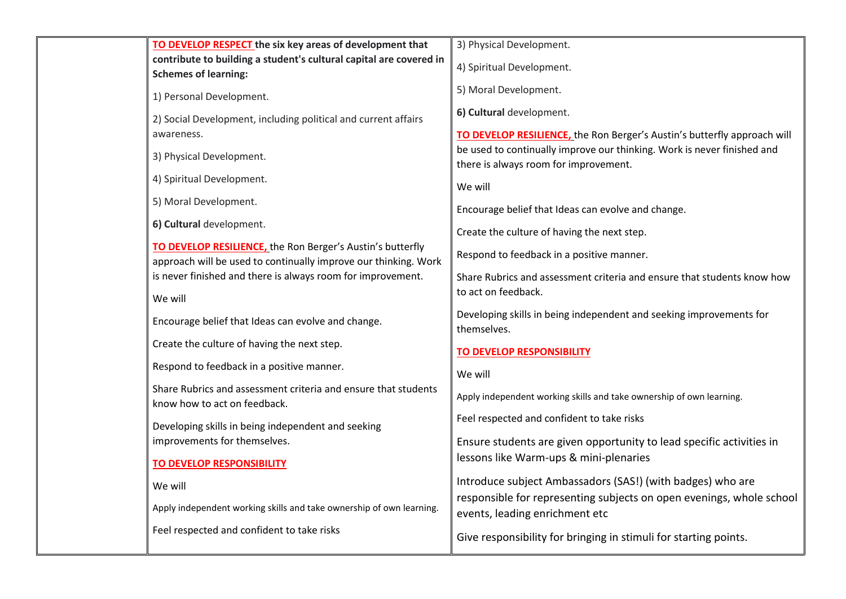| TO DEVELOP RESPECT the six key areas of development that                                                                      | 3) Physical Development.                                                                                         |
|-------------------------------------------------------------------------------------------------------------------------------|------------------------------------------------------------------------------------------------------------------|
| contribute to building a student's cultural capital are covered in<br><b>Schemes of learning:</b>                             | 4) Spiritual Development.                                                                                        |
| 1) Personal Development.                                                                                                      | 5) Moral Development.                                                                                            |
| 2) Social Development, including political and current affairs                                                                | 6) Cultural development.                                                                                         |
| awareness.                                                                                                                    | TO DEVELOP RESILIENCE, the Ron Berger's Austin's butterfly approach will                                         |
| 3) Physical Development.                                                                                                      | be used to continually improve our thinking. Work is never finished and<br>there is always room for improvement. |
| 4) Spiritual Development.                                                                                                     | We will                                                                                                          |
| 5) Moral Development.                                                                                                         | Encourage belief that Ideas can evolve and change.                                                               |
| 6) Cultural development.                                                                                                      | Create the culture of having the next step.                                                                      |
| TO DEVELOP RESILIENCE, the Ron Berger's Austin's butterfly<br>approach will be used to continually improve our thinking. Work | Respond to feedback in a positive manner.                                                                        |
| is never finished and there is always room for improvement.                                                                   | Share Rubrics and assessment criteria and ensure that students know how                                          |
| We will                                                                                                                       | to act on feedback.                                                                                              |
| Encourage belief that Ideas can evolve and change.                                                                            | Developing skills in being independent and seeking improvements for<br>themselves.                               |
| Create the culture of having the next step.                                                                                   | <b>TO DEVELOP RESPONSIBILITY</b>                                                                                 |
| Respond to feedback in a positive manner.                                                                                     | We will                                                                                                          |
| Share Rubrics and assessment criteria and ensure that students<br>know how to act on feedback.                                | Apply independent working skills and take ownership of own learning.                                             |
| Developing skills in being independent and seeking                                                                            | Feel respected and confident to take risks                                                                       |
| improvements for themselves.                                                                                                  | Ensure students are given opportunity to lead specific activities in                                             |
| <b>TO DEVELOP RESPONSIBILITY</b>                                                                                              | lessons like Warm-ups & mini-plenaries                                                                           |
| We will                                                                                                                       | Introduce subject Ambassadors (SAS!) (with badges) who are                                                       |
| Apply independent working skills and take ownership of own learning.                                                          | responsible for representing subjects on open evenings, whole school<br>events, leading enrichment etc           |
| Feel respected and confident to take risks                                                                                    | Give responsibility for bringing in stimuli for starting points.                                                 |